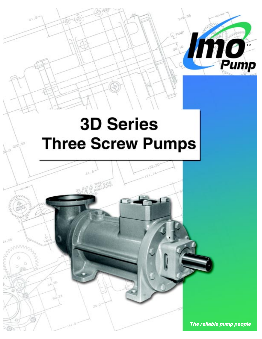

The reliable pump people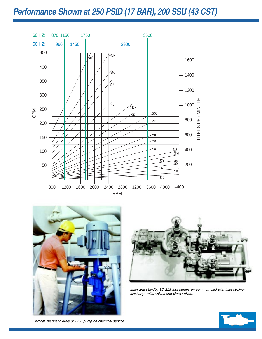## **Performance Shown at 250 PSID (17 BAR), 200 SSU (43 CST)**







Main and standby 3D-218 fuel pumps on common skid with inlet strainer, discharge relief valves and block valves.

Vertical, magnetic drive 3D-250 pump on chemical service

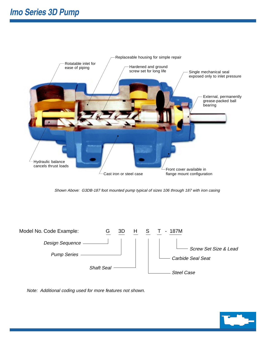

Shown Above: G3DB-187 foot mounted pump typical of sizes 106 through 187 with iron casing



Note: Additional coding used for more features not shown.

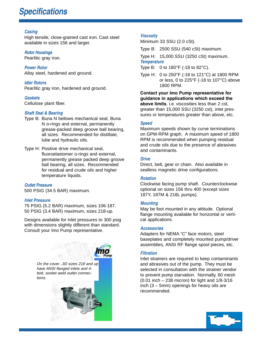#### **Casing**

High tensile, close-grained cast iron. Cast steel available in sizes 156 and larger.

#### **Rotor Housings**

Pearlitic gray iron.

**Power Rotor** Alloy steel, hardened and ground.

**Idler Rotors** Pearlitic gray iron, hardened and ground.

#### **Gaskets**

Cellulose plant fiber.

#### **Shaft Seal & Bearing**

- Type B: Buna N bellows mechanical seal, Buna N o-rings and external, permanently grease-packed deep groove ball bearing, all sizes. Recommended for distillate, lube and hydraulic oils.
- Type H: Positive drive mechanical seal, fluoroelastomer o-rings and external, permanently grease packed deep groove ball bearing, all sizes. Recommended for residual and crude oils and higher temperature liquids.

#### **Outlet Pressure**

500 PSIG (34.5 BAR) maximum.

#### **Inlet Pressure**

75 PSIG (5.2 BAR) maximum, sizes 106-187. 50 PSIG (3.4 BAR) maximum, sizes 218-up.

Designs available for inlet pressures to 300 psig with dimensions slightly different than standard. Consult your Imo Pump representative.



#### **Viscosity**

Minimum 33 SSU (2.0 cSt).

Type B: 2500 SSU (540 cSt) maximum.

Type H: 15,000 SSU (3250 cSt) maximum. **Temperature**

- Type B: 0 to 180 $\degree$ F (-18 to 82 $\degree$ C).
- Type H: 0 to 250°F (-18 to 121°C) at 1800 RPM or less, 0 to 225°F (-18 to 107°C) above 1800 RPM.

**Contact your Imo Pump representative for guidance in applications which exceed the above limits**, i.e. viscosities less than 2 cst, greater than 15,000 SSU (3250 cst), inlet pressures or temperatures greater than above, etc.

#### **Speed**

Maximum speeds shown by curve terminations on GPM-RPM graph. A maximum speed of 1800 RPM is recommended when pumping residual and crude oils due to the presence of abrasives and contaminants.

#### **Drive**

Direct, belt, gear or chain. Also available in sealless magnetic drive configurations.

#### **Rotation**

Clockwise facing pump shaft. Counterclockwise optional on sizes 156 thru 400 (except sizes 187Y, 187M & 218L pumps).

#### **Mounting**

May be foot mounted in any attitude. Optional flange mounting available for horizontal or vertical applications.

#### **Accessories**

Adapters for NEMA "C" face motors, steel baseplates and completely mounted pump/driver assemblies, ANSI RF flange spool pieces, etc.

#### **Filtration**

Inlet strainers are required to keep contaminants and abrasives out of the pump. They must be selected in consultation with the strainer vendor to prevent pump starvation. Normally, 60 mesh (0.01 inch – 238 micron) for light and 1/8-3/16 inch (3 – 5mm) openings for heavy oils are recommended.

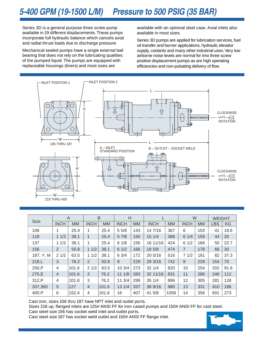Series 3D is a general purpose three screw pump available in 19 different displacements. These pumps incorporate full hydraulic balance which cancels axial and radial thrust loads due to discharge pressure.

Mechanical sealed pumps have a single external ball bearing that does not rely on the lubricating qualities of the pumped liquid. The pumps are equipped with replaceable housings (liners) and most sizes are

available with an optional steel case. Axial inlets also available in most sizes.

Series 3D pumps are applied for lubrication services, fuel oil transfer and burner applications, hydraulic elevator supply, coolants and many other industrial uses. Very low airborne noise levels are normal for Imo three screw positive displacement pumps as are high operating efficiencies and non-pulsating delivery of flow.



| <b>Size</b> | A              |           | B              |           | H           |           |             |           | W              |           | <b>WEIGHT</b> |      |
|-------------|----------------|-----------|----------------|-----------|-------------|-----------|-------------|-----------|----------------|-----------|---------------|------|
|             | <b>INCH</b>    | <b>MM</b> | <b>INCH</b>    | <b>MM</b> | <b>INCH</b> | <b>MM</b> | <b>INCH</b> | <b>MM</b> | <b>INCH</b>    | <b>MM</b> | <b>LBS</b>    | KG   |
| 106         |                | 25.4      |                | 25.4      | 55/8        | 143       | 14 7/16     | 367       | 6              | 153       | 41            | 18.6 |
| 118         | 11/2           | 38.1      | 1              | 25.4      | 57/8        | 150       | 15 1/4      | 388       | 61/4           | 159       | 44            | 20   |
| 137         | 11/2           | 38.1      | 1              | 25.4      | 61/8        | 156       | 16 11/16    | 424       | 61/2           | 166       | 50            | 22.7 |
| 156         | $\overline{2}$ | 50.8      | 11/2           | 38.1      | 61/2        | 166       | 18 5/8      | 474       | $\overline{7}$ | 178       | 66            | 30   |
| 187, Y, M   | 21/2           | 63.5      | 11/2           | 38.1      | 63/4        | 172       | 20 5/16     | 516       | 71/2           | 191       | 82            | 37.3 |
| 218,L       | 3              | 76.2      | 2              | 50.8      | 9           | 229       | 29 3/16     | 742       | 9              | 229       | 154           | 70   |
| 250, P      | 4              | 101.6     | 21/2           | 63.5      | 103/4       | 273       | 321/4       | 820       | 10             | 254       | 202           | 91.8 |
| 275,E       | $\overline{4}$ | 101.6     | 3              | 76.2      | 111/8       | 283       | 32 11/16    | 831       | 11             | 280       | 246           | 112  |
| 312.P       | 4              | 101.6     | 3              | 76.2      | 11 3/4      | 299       | 35 1/4      | 896       | 12             | 305       | 281           | 128  |
| 337,350     | 5              | 127       | $\overline{4}$ | 101.6     | 13 1/4      | 337       | 38 9/16     | 980       | 13             | 331       | 410           | 186  |
| 400,P       | 6              | 152.4     | 4              | 101.6     | 16          | 407       | 41 5/8      | 1058      | 14             | 356       | 601           | 273  |

Cast iron, sizes 106 thru 187 have NPT inlet and outlet ports.

Sizes 218 up, flanged inlets are 125# ANSI FF for iron cased pumps and 150# ANSI FF for cast steel.

Cast steel size 156 has socket weld inlet and outlet ports.

Cast steel size 187 has socket weld outlet and 150# ANSI FF flange inlet.